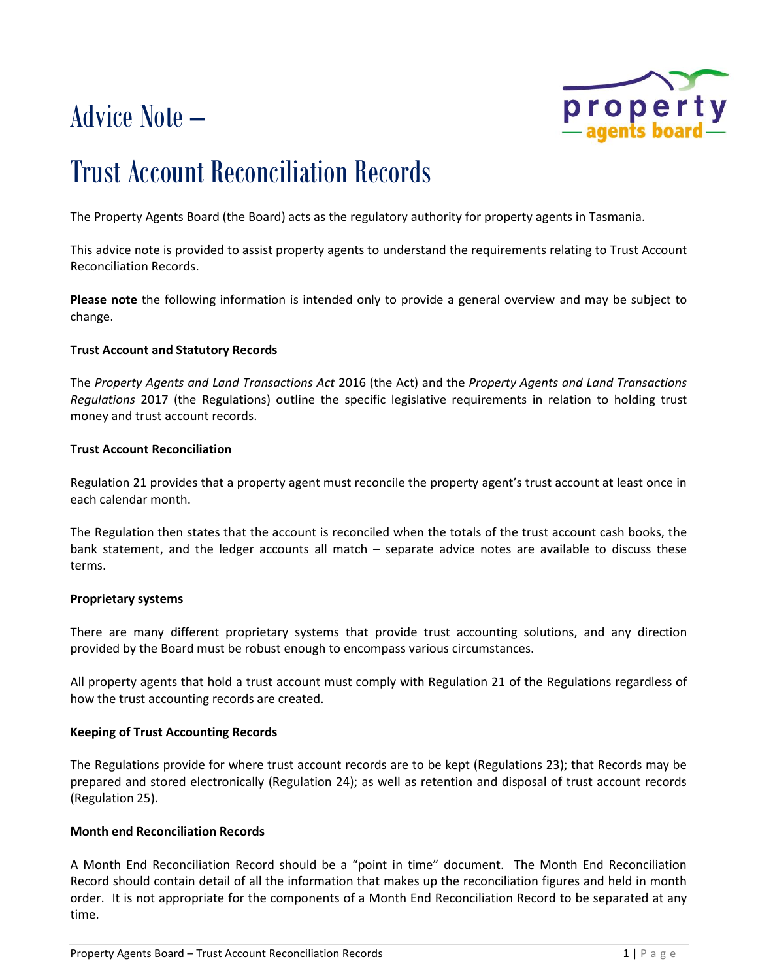# Advice Note –



## Trust Account Reconciliation Records

The Property Agents Board (the Board) acts as the regulatory authority for property agents in Tasmania.

This advice note is provided to assist property agents to understand the requirements relating to Trust Account Reconciliation Records.

**Please note** the following information is intended only to provide a general overview and may be subject to change.

#### **Trust Account and Statutory Records**

The *Property Agents and Land Transactions Act* 2016 (the Act) and the *Property Agents and Land Transactions Regulations* 2017 (the Regulations) outline the specific legislative requirements in relation to holding trust money and trust account records.

#### **Trust Account Reconciliation**

Regulation 21 provides that a property agent must reconcile the property agent's trust account at least once in each calendar month.

The Regulation then states that the account is reconciled when the totals of the trust account cash books, the bank statement, and the ledger accounts all match – separate advice notes are available to discuss these terms.

#### **Proprietary systems**

There are many different proprietary systems that provide trust accounting solutions, and any direction provided by the Board must be robust enough to encompass various circumstances.

All property agents that hold a trust account must comply with Regulation 21 of the Regulations regardless of how the trust accounting records are created.

#### **Keeping of Trust Accounting Records**

The Regulations provide for where trust account records are to be kept (Regulations 23); that Records may be prepared and stored electronically (Regulation 24); as well as retention and disposal of trust account records (Regulation 25).

#### **Month end Reconciliation Records**

A Month End Reconciliation Record should be a "point in time" document. The Month End Reconciliation Record should contain detail of all the information that makes up the reconciliation figures and held in month order. It is not appropriate for the components of a Month End Reconciliation Record to be separated at any time.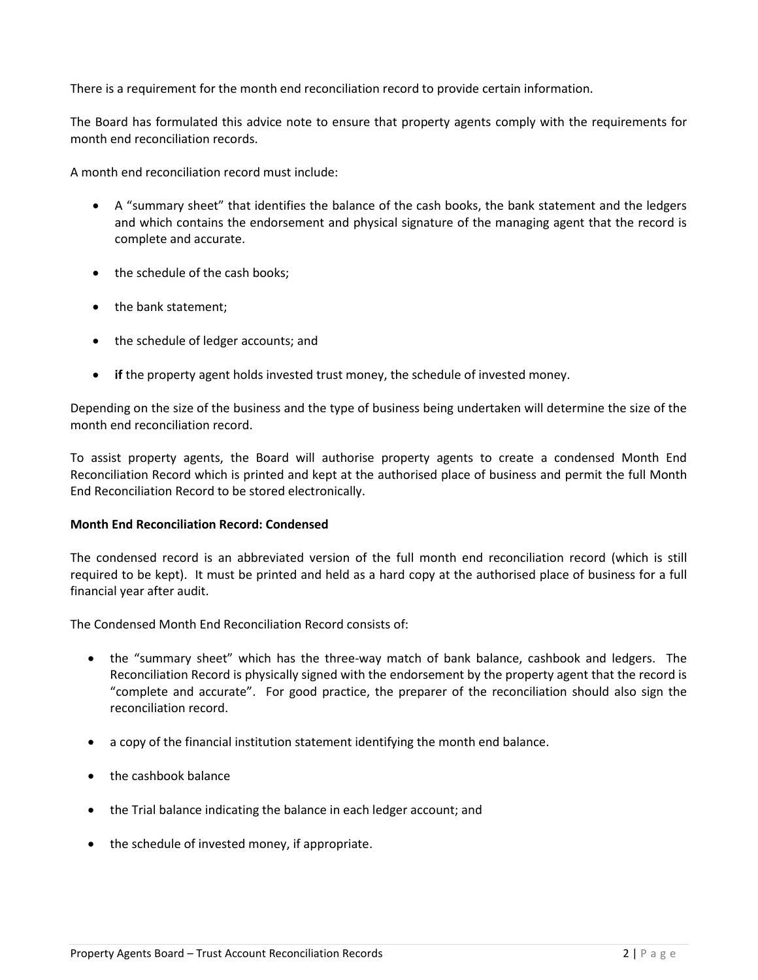There is a requirement for the month end reconciliation record to provide certain information.

The Board has formulated this advice note to ensure that property agents comply with the requirements for month end reconciliation records.

A month end reconciliation record must include:

- A "summary sheet" that identifies the balance of the cash books, the bank statement and the ledgers and which contains the endorsement and physical signature of the managing agent that the record is complete and accurate.
- the schedule of the cash books;
- the bank statement;
- the schedule of ledger accounts; and
- **if** the property agent holds invested trust money, the schedule of invested money.

Depending on the size of the business and the type of business being undertaken will determine the size of the month end reconciliation record.

To assist property agents, the Board will authorise property agents to create a condensed Month End Reconciliation Record which is printed and kept at the authorised place of business and permit the full Month End Reconciliation Record to be stored electronically.

#### **Month End Reconciliation Record: Condensed**

The condensed record is an abbreviated version of the full month end reconciliation record (which is still required to be kept). It must be printed and held as a hard copy at the authorised place of business for a full financial year after audit.

The Condensed Month End Reconciliation Record consists of:

- the "summary sheet" which has the three-way match of bank balance, cashbook and ledgers. The Reconciliation Record is physically signed with the endorsement by the property agent that the record is "complete and accurate". For good practice, the preparer of the reconciliation should also sign the reconciliation record.
- a copy of the financial institution statement identifying the month end balance.
- the cashbook balance
- the Trial balance indicating the balance in each ledger account; and
- the schedule of invested money, if appropriate.